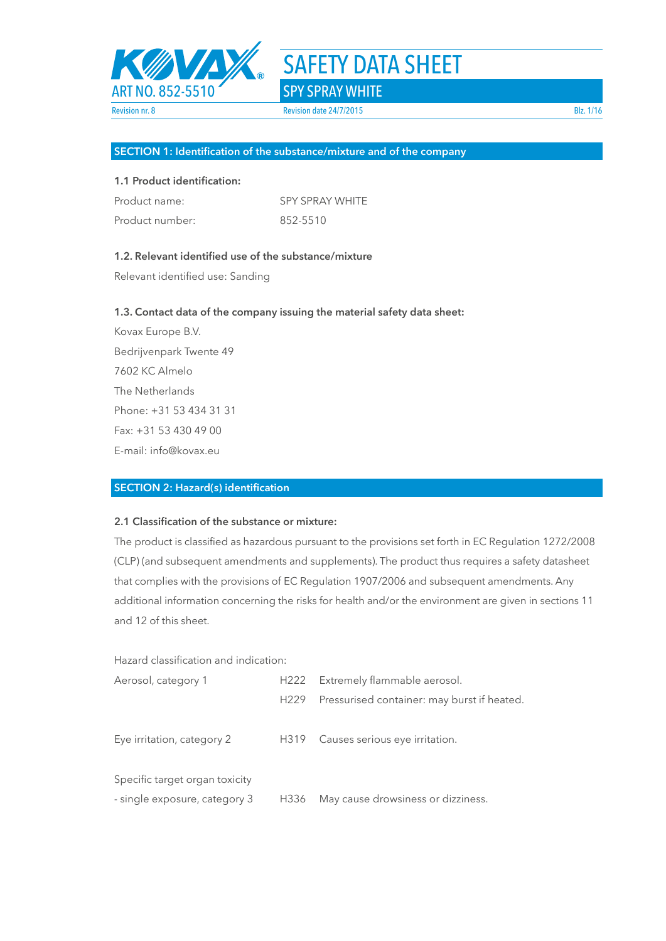

#### **SECTION 1: Identification of the substance/mixture and of the company**

#### **1.1 Product identification:**

| Product name:   | <b>SPY SPRAY WHITE</b> |
|-----------------|------------------------|
| Product number: | 852-5510               |

#### **1.2. Relevant identified use of the substance/mixture**

Relevant identified use: Sanding

#### **1.3. Contact data of the company issuing the material safety data sheet:**

Kovax Europe B.V. Bedrijvenpark Twente 49 7602 KC Almelo The Netherlands Phone: +31 53 434 31 31 Fax: +31 53 430 49 00 E-mail: info@kovax.eu

#### **SECTION 2: Hazard(s) identification**

### **2.1 Classification of the substance or mixture:**

The product is classified as hazardous pursuant to the provisions set forth in EC Regulation 1272/2008 (CLP) (and subsequent amendments and supplements). The product thus requires a safety datasheet that complies with the provisions of EC Regulation 1907/2006 and subsequent amendments. Any additional information concerning the risks for health and/or the environment are given in sections 11 and 12 of this sheet.

Hazard classification and indication:

| Aerosol, category 1            | H222             | Extremely flammable aerosol.                |
|--------------------------------|------------------|---------------------------------------------|
|                                | H <sub>229</sub> | Pressurised container: may burst if heated. |
| Eye irritation, category 2     |                  | H319 Causes serious eye irritation.         |
| Specific target organ toxicity |                  |                                             |
| - single exposure, category 3  | H336             | May cause drowsiness or dizziness.          |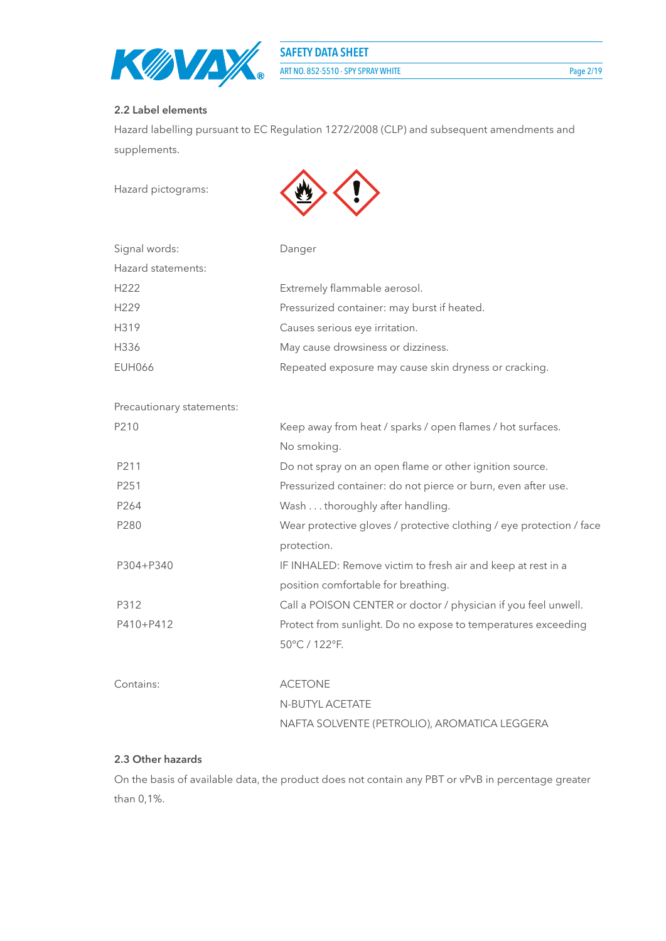

#### **2.2 Label elements**

Hazard labelling pursuant to EC Regulation 1272/2008 (CLP) and subsequent amendments and supplements.

Hazard pictograms:



| Signal words:      | Danger                                                |
|--------------------|-------------------------------------------------------|
| Hazard statements: |                                                       |
| H <sub>222</sub>   | Extremely flammable aerosol.                          |
| H229               | Pressurized container: may burst if heated.           |
| H319               | Causes serious eye irritation.                        |
| H336               | May cause drowsiness or dizziness.                    |
| <b>EUH066</b>      | Repeated exposure may cause skin dryness or cracking. |

Precautionary statements:

| P210             | Keep away from heat / sparks / open flames / hot surfaces.           |  |  |
|------------------|----------------------------------------------------------------------|--|--|
|                  | No smoking.                                                          |  |  |
| P211             | Do not spray on an open flame or other ignition source.              |  |  |
| P251             | Pressurized container: do not pierce or burn, even after use.        |  |  |
| P <sub>264</sub> | Wash thoroughly after handling.                                      |  |  |
| P280             | Wear protective gloves / protective clothing / eye protection / face |  |  |
|                  | protection.                                                          |  |  |
| P304+P340        | IF INHALED: Remove victim to fresh air and keep at rest in a         |  |  |
|                  | position comfortable for breathing.                                  |  |  |
| P312             | Call a POISON CENTER or doctor / physician if you feel unwell.       |  |  |
| P410+P412        | Protect from sunlight. Do no expose to temperatures exceeding        |  |  |
|                  | 50°C / 122°F.                                                        |  |  |
|                  |                                                                      |  |  |
| Contains:        | <b>ACETONE</b>                                                       |  |  |
|                  | N-BUTYL ACETATE                                                      |  |  |
|                  | NAFTA SOLVENTE (PETROLIO), AROMATICA LEGGERA                         |  |  |

#### **2.3 Other hazards**

On the basis of available data, the product does not contain any PBT or vPvB in percentage greater than 0,1%.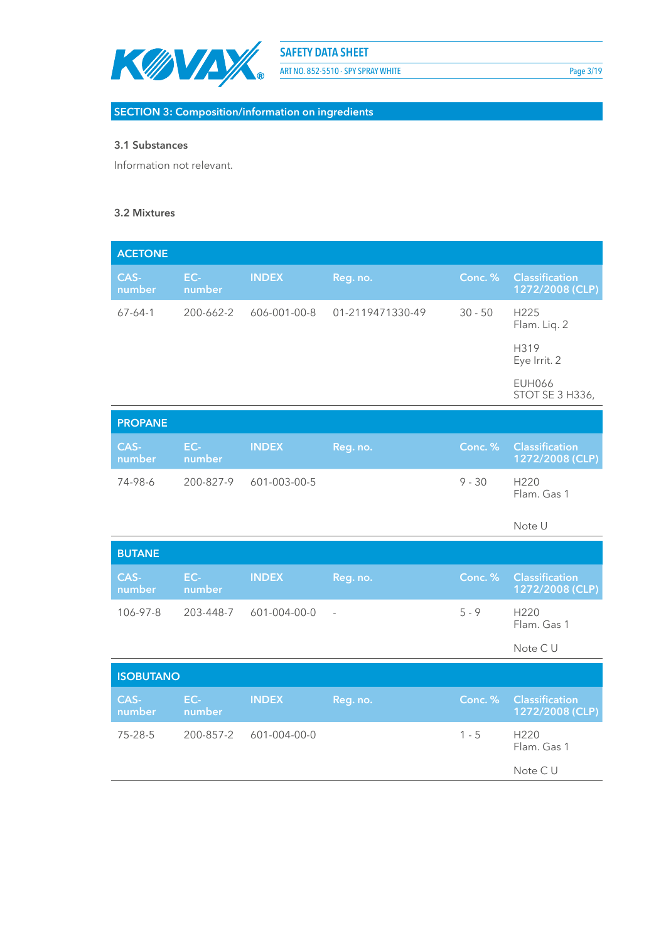

ART NO. 852-5510 - SPY SPRAY WHITE Page 3/19

**SECTION 3: Composition/information on ingredients**

#### **3.1 Substances**

Information not relevant.

#### **3.2 Mixtures**

| <b>ACETONE</b>  |               |              |                  |           |                                          |
|-----------------|---------------|--------------|------------------|-----------|------------------------------------------|
| CAS-<br>number  | EC-<br>number | <b>INDEX</b> | Reg. no.         | Conc. %   | <b>Classification</b><br>1272/2008 (CLP) |
| $67 - 64 - 1$   | 200-662-2     | 606-001-00-8 | 01-2119471330-49 | $30 - 50$ | H <sub>225</sub><br>Flam. Liq. 2         |
|                 |               |              |                  |           | H319<br>Eye Irrit. 2                     |
|                 |               |              |                  |           | <b>EUH066</b><br>STOT SE 3 H336,         |
| <b>DDADANIE</b> |               |              |                  |           |                                          |

| <b>PROPANE</b> |               |                        |          |          |                                                  |
|----------------|---------------|------------------------|----------|----------|--------------------------------------------------|
| CAS-<br>number | EC-<br>number | <b>INDEX</b>           | Reg. no. |          | <b>Conc. % Classification</b><br>1272/2008 (CLP) |
| 74-98-6        |               | 200-827-9 601-003-00-5 |          | $9 - 30$ | H <sub>220</sub><br>Flam. Gas 1                  |

Note U

| <b>BUTANE</b>  |                 |              |                          |           |                                          |
|----------------|-----------------|--------------|--------------------------|-----------|------------------------------------------|
| CAS-<br>number | $EC-$<br>number | <b>INDEX</b> | Reg. no.                 | Conc. $%$ | <b>Classification</b><br>1272/2008 (CLP) |
| 106-97-8       | 203-448-7       | 601-004-00-0 | $\overline{\phantom{a}}$ | $5 - 9$   | H <sub>220</sub><br>Flam. Gas 1          |

Note C U

| <b>ISOBUTANO</b> |                 |              |          |         |                                          |
|------------------|-----------------|--------------|----------|---------|------------------------------------------|
| CAS-<br>number   | $EC-$<br>number | <b>INDEX</b> | Reg. no. | Conc. % | <b>Classification</b><br>1272/2008 (CLP) |
| 75-28-5          | 200-857-2       | 601-004-00-0 |          | $1 - 5$ | H <sub>220</sub><br>Flam. Gas 1          |
|                  |                 |              |          |         | Note CU                                  |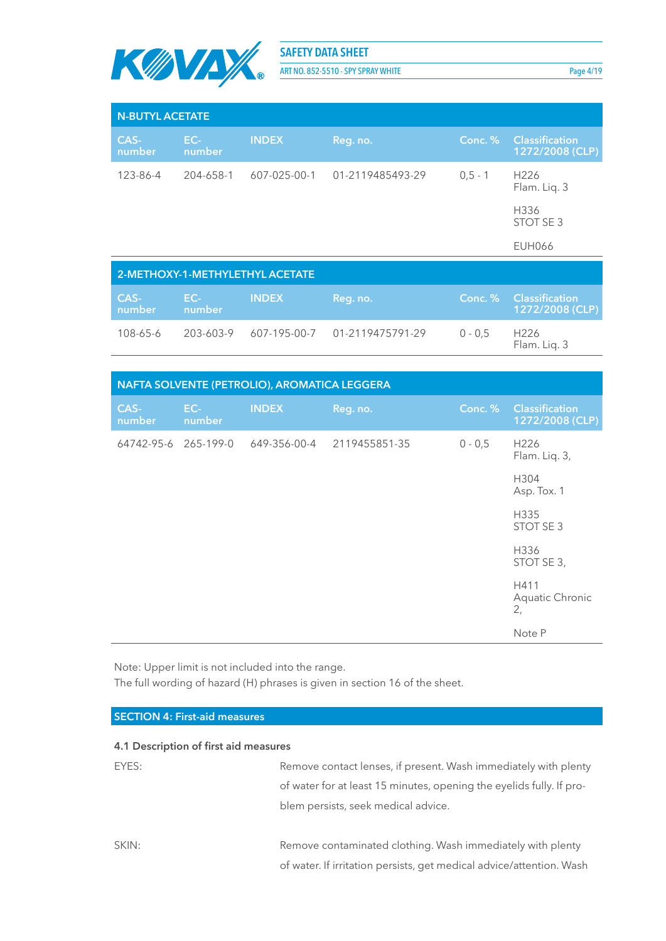

ART NO. 852-5510 - SPY SPRAY WHITE Page 4/19

| <b>N-BUTYL ACETATE</b>          |               |              |                  |           |                                          |
|---------------------------------|---------------|--------------|------------------|-----------|------------------------------------------|
| CAS-<br>number                  | EC-<br>number | <b>INDEX</b> | Reg. no.         | Conc. %   | <b>Classification</b><br>1272/2008 (CLP) |
| 123-86-4                        | 204-658-1     | 607-025-00-1 | 01-2119485493-29 | $0.5 - 1$ | H <sub>226</sub><br>Flam. Lig. 3         |
|                                 |               |              |                  |           | H336<br>STOT SE 3                        |
|                                 |               |              |                  |           | <b>EUH066</b>                            |
| 2-METHOXY-1-METHYLETHYL ACETATE |               |              |                  |           |                                          |

| <b>CAS-1</b><br>number | /EC-7<br>number | <b>INDEX</b> | Reg. no.                                |           | Conc. % Classification'<br>1272/2008 (CLP) |
|------------------------|-----------------|--------------|-----------------------------------------|-----------|--------------------------------------------|
| 108-65-6               |                 |              | 203-603-9 607-195-00-7 01-2119475791-29 | $0 - 0.5$ | H <sub>226</sub><br>Flam. Liq. 3           |

| NAFTA SOLVENTE (PETROLIO), AROMATICA LEGGERA |               |              |               |           |                                          |
|----------------------------------------------|---------------|--------------|---------------|-----------|------------------------------------------|
| CAS-<br>number                               | EC-<br>number | <b>INDEX</b> | Reg. no.      | Conc. %   | <b>Classification</b><br>1272/2008 (CLP) |
| 64742-95-6 265-199-0                         |               | 649-356-00-4 | 2119455851-35 | $0 - 0,5$ | H <sub>226</sub><br>Flam. Liq. 3,        |
|                                              |               |              |               |           | H304<br>Asp. Tox. 1                      |
|                                              |               |              |               |           | H335<br>STOT SE 3                        |
|                                              |               |              |               |           | H336<br>STOT SE 3,                       |
|                                              |               |              |               |           | H411<br>Aquatic Chronic<br>2,            |
|                                              |               |              |               |           | Note P                                   |

Note: Upper limit is not included into the range.

The full wording of hazard (H) phrases is given in section 16 of the sheet.

| <b>SECTION 4: First-aid measures</b>  |                                                                      |
|---------------------------------------|----------------------------------------------------------------------|
|                                       |                                                                      |
| 4.1 Description of first aid measures |                                                                      |
| EYES:                                 | Remove contact lenses, if present. Wash immediately with plenty      |
|                                       | of water for at least 15 minutes, opening the eyelids fully. If pro- |
|                                       | blem persists, seek medical advice.                                  |
|                                       |                                                                      |
| SKIN:                                 | Remove contaminated clothing. Wash immediately with plenty           |
|                                       | of water. If irritation persists, get medical advice/attention. Wash |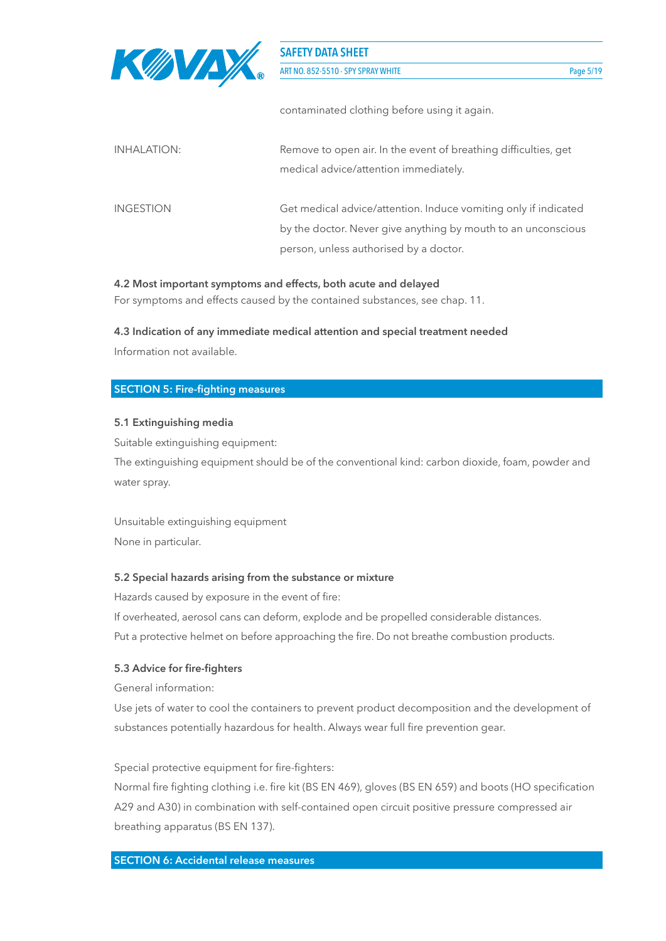

| INHALATION:      | Remove to open air. In the event of breathing difficulties, get<br>medical advice/attention immediately.                                                                   |
|------------------|----------------------------------------------------------------------------------------------------------------------------------------------------------------------------|
| <b>INGESTION</b> | Get medical advice/attention. Induce vomiting only if indicated<br>by the doctor. Never give anything by mouth to an unconscious<br>person, unless authorised by a doctor. |

#### **4.2 Most important symptoms and effects, both acute and delayed**

For symptoms and effects caused by the contained substances, see chap. 11.

#### **4.3 Indication of any immediate medical attention and special treatment needed**

Information not available.

#### **SECTION 5: Fire-fighting measures**

#### **5.1 Extinguishing media**

Suitable extinguishing equipment:

The extinguishing equipment should be of the conventional kind: carbon dioxide, foam, powder and water spray.

Unsuitable extinguishing equipment None in particular.

#### **5.2 Special hazards arising from the substance or mixture**

Hazards caused by exposure in the event of fire:

If overheated, aerosol cans can deform, explode and be propelled considerable distances. Put a protective helmet on before approaching the fire. Do not breathe combustion products.

#### **5.3 Advice for fire-fighters**

General information:

Use jets of water to cool the containers to prevent product decomposition and the development of substances potentially hazardous for health. Always wear full fire prevention gear.

#### Special protective equipment for fire-fighters:

Normal fire fighting clothing i.e. fire kit (BS EN 469), gloves (BS EN 659) and boots (HO specification A29 and A30) in combination with self-contained open circuit positive pressure compressed air breathing apparatus (BS EN 137).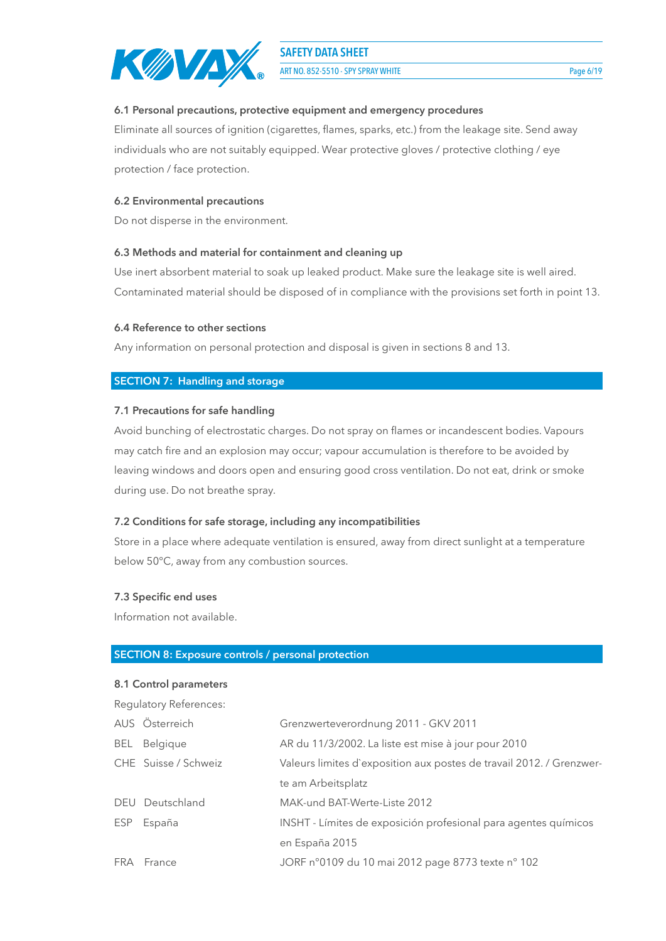

ART NO. 852-5510 - SPY SPRAY WHITE Page 6/19

#### **6.1 Personal precautions, protective equipment and emergency procedures**

Eliminate all sources of ignition (cigarettes, flames, sparks, etc.) from the leakage site. Send away individuals who are not suitably equipped. Wear protective gloves / protective clothing / eye protection / face protection.

#### **6.2 Environmental precautions**

Do not disperse in the environment.

#### **6.3 Methods and material for containment and cleaning up**

Use inert absorbent material to soak up leaked product. Make sure the leakage site is well aired. Contaminated material should be disposed of in compliance with the provisions set forth in point 13.

#### **6.4 Reference to other sections**

Any information on personal protection and disposal is given in sections 8 and 13.

#### **SECTION 7: Handling and storage**

#### **7.1 Precautions for safe handling**

Avoid bunching of electrostatic charges. Do not spray on flames or incandescent bodies. Vapours may catch fire and an explosion may occur; vapour accumulation is therefore to be avoided by leaving windows and doors open and ensuring good cross ventilation. Do not eat, drink or smoke during use. Do not breathe spray.

#### **7.2 Conditions for safe storage, including any incompatibilities**

Store in a place where adequate ventilation is ensured, away from direct sunlight at a temperature below 50°C, away from any combustion sources.

#### **7.3 Specific end uses**

Information not available.

#### **SECTION 8: Exposure controls / personal protection**

#### **8.1 Control parameters**

Regulatory References: AUS Österreich Grenzwerteverordnung 2011 - GKV 2011 BEL Belgique AR du 11/3/2002. La liste est mise à jour pour 2010 CHE Suisse / Schweiz Valeurs limites d`exposition aux postes de travail 2012. / Grenzwerte am Arbeitsplatz DEU Deutschland MAK-und BAT-Werte-Liste 2012 ESP España INSHT - Límites de exposición profesional para agentes químicos en España 2015 FRA France JORF n°0109 du 10 mai 2012 page 8773 texte n° 102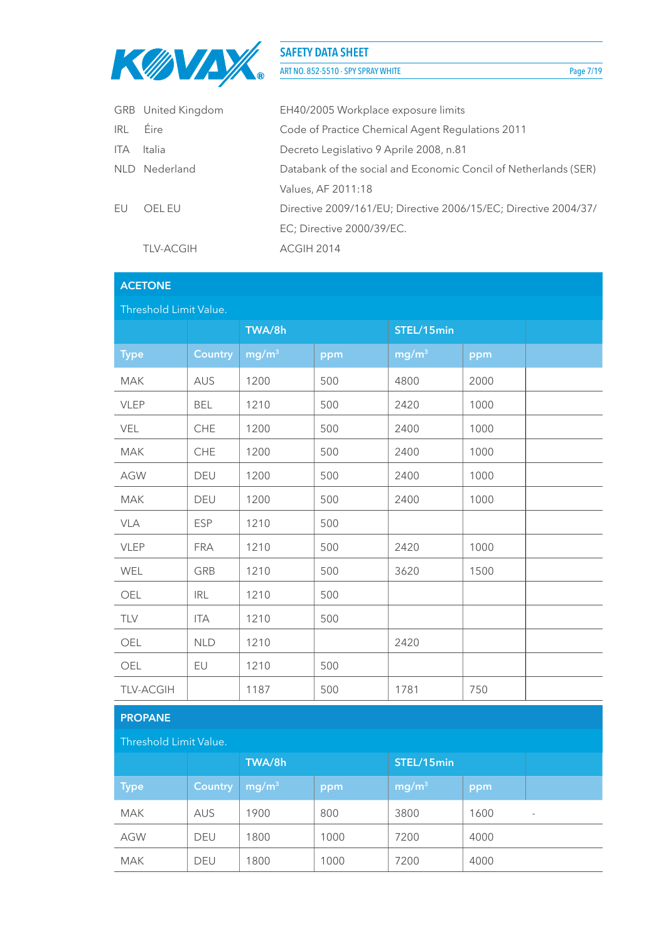

ART NO. 852-5510 - SPY SPRAY WHITE Page 7/19

|            | GRB United Kingdom | EH40/2005 Workplace exposure limits                             |
|------------|--------------------|-----------------------------------------------------------------|
| <b>IRL</b> | <b>Eire</b>        | Code of Practice Chemical Agent Regulations 2011                |
| <b>ITA</b> | Italia             | Decreto Legislativo 9 Aprile 2008, n.81                         |
|            | NLD Nederland      | Databank of the social and Economic Concil of Netherlands (SER) |
|            |                    | Values, AF 2011:18                                              |
| FU         | OFI FU             | Directive 2009/161/EU; Directive 2006/15/EC; Directive 2004/37/ |
|            |                    | EC; Directive 2000/39/EC.                                       |
|            | <b>TLV-ACGIH</b>   | ACGIH 2014                                                      |
|            |                    |                                                                 |

# **ACETONE**

| Threshold Limit Value. |                |                   |     |                   |      |  |
|------------------------|----------------|-------------------|-----|-------------------|------|--|
|                        |                | TWA/8h            |     |                   |      |  |
| <b>Type</b>            | <b>Country</b> | mg/m <sup>3</sup> | ppm | mg/m <sup>3</sup> | ppm  |  |
| <b>MAK</b>             | <b>AUS</b>     | 1200              | 500 | 4800              | 2000 |  |
| VLEP                   | <b>BEL</b>     | 1210              | 500 | 2420              | 1000 |  |
| VEL                    | CHE            | 1200              | 500 | 2400              | 1000 |  |
| <b>MAK</b>             | CHE            | 1200              | 500 | 2400              | 1000 |  |
| <b>AGW</b>             | DEU            | 1200              | 500 | 2400              | 1000 |  |
| <b>MAK</b>             | DEU            | 1200              | 500 | 2400              | 1000 |  |
| <b>VLA</b>             | <b>ESP</b>     | 1210              | 500 |                   |      |  |
| VLEP                   | <b>FRA</b>     | 1210              | 500 | 2420              | 1000 |  |
| WEL                    | GRB            | 1210              | 500 | 3620              | 1500 |  |
| OEL                    | <b>IRL</b>     | 1210              | 500 |                   |      |  |
| TLV                    | <b>ITA</b>     | 1210              | 500 |                   |      |  |
| OEL                    | <b>NLD</b>     | 1210              |     | 2420              |      |  |
| OEL                    | EU             | 1210              | 500 |                   |      |  |
| <b>TLV-ACGIH</b>       |                | 1187              | 500 | 1781              | 750  |  |

### **PROPANE**

| Threshold Limit Value. |                |                   |      |                                   |      |   |  |
|------------------------|----------------|-------------------|------|-----------------------------------|------|---|--|
|                        |                | TWA/8h            |      | STEL/15min                        |      |   |  |
| <b>Type</b>            | <b>Country</b> | mg/m <sup>3</sup> | ppm  | $\lfloor \mathsf{mg/m}^3 \rfloor$ | ppm  |   |  |
| <b>MAK</b>             | <b>AUS</b>     | 1900              | 800  | 3800                              | 1600 | - |  |
| <b>AGW</b>             | <b>DEU</b>     | 1800              | 1000 | 7200                              | 4000 |   |  |
| <b>MAK</b>             | <b>DEU</b>     | 1800              | 1000 | 7200                              | 4000 |   |  |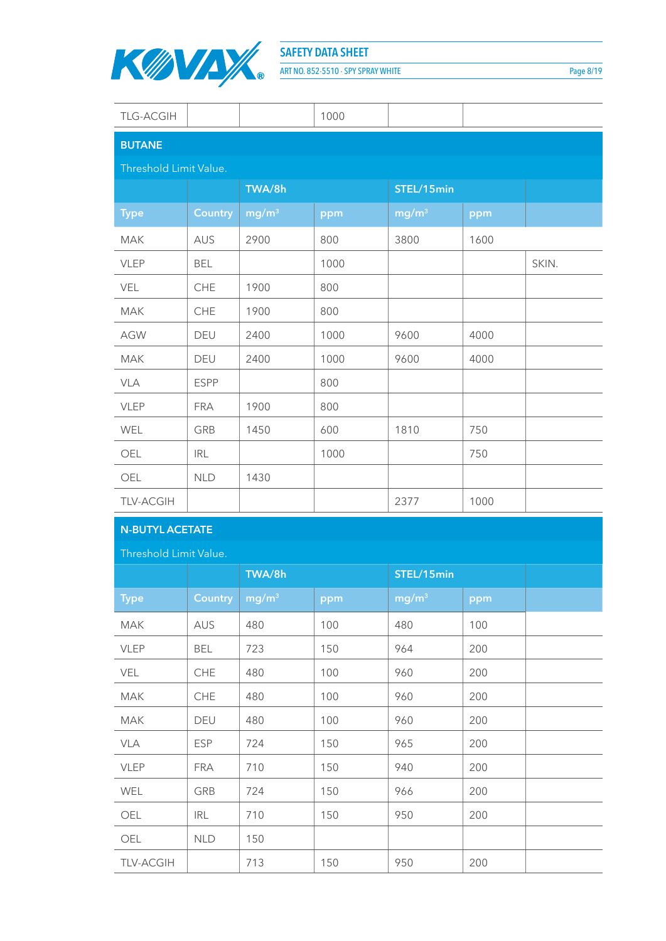

ART NO. 852-5510 - SPY SPRAY WHITE Page 8/19

| <b>TLG-ACGIH</b>       |                |                   | 1000 |                   |      |       |
|------------------------|----------------|-------------------|------|-------------------|------|-------|
| <b>BUTANE</b>          |                |                   |      |                   |      |       |
| Threshold Limit Value. |                |                   |      |                   |      |       |
|                        |                | TWA/8h            |      | STEL/15min        |      |       |
| <b>Type</b>            | <b>Country</b> | mg/m <sup>3</sup> | ppm  | mg/m <sup>3</sup> | ppm  |       |
| <b>MAK</b>             | AUS            | 2900              | 800  | 3800              | 1600 |       |
| <b>VLEP</b>            | <b>BEL</b>     |                   | 1000 |                   |      | SKIN. |
| VEL                    | CHE            | 1900              | 800  |                   |      |       |
| MAK                    | CHE            | 1900              | 800  |                   |      |       |
| <b>AGW</b>             | DEU            | 2400              | 1000 | 9600              | 4000 |       |
| <b>MAK</b>             | DEU            | 2400              | 1000 | 9600              | 4000 |       |
| VLA                    | <b>ESPP</b>    |                   | 800  |                   |      |       |
| <b>VLEP</b>            | <b>FRA</b>     | 1900              | 800  |                   |      |       |
| WEL                    | GRB            | 1450              | 600  | 1810              | 750  |       |
| OEL                    | <b>IRL</b>     |                   | 1000 |                   | 750  |       |
| OEL                    | <b>NLD</b>     | 1430              |      |                   |      |       |
| <b>TLV-ACGIH</b>       |                |                   |      | 2377              | 1000 |       |

# **N-BUTYL ACETATE**

Threshold Limit Value.

|                  |                | TWA/8h            |     | STEL/15min        |     |
|------------------|----------------|-------------------|-----|-------------------|-----|
| <b>Type</b>      | <b>Country</b> | mg/m <sup>3</sup> | ppm | mg/m <sup>3</sup> | ppm |
| <b>MAK</b>       | <b>AUS</b>     | 480               | 100 | 480               | 100 |
| <b>VLEP</b>      | <b>BEL</b>     | 723               | 150 | 964               | 200 |
| <b>VEL</b>       | <b>CHE</b>     | 480               | 100 | 960               | 200 |
| <b>MAK</b>       | <b>CHE</b>     | 480               | 100 | 960               | 200 |
| <b>MAK</b>       | DEU            | 480               | 100 | 960               | 200 |
| VLA              | <b>ESP</b>     | 724               | 150 | 965               | 200 |
| <b>VLEP</b>      | <b>FRA</b>     | 710               | 150 | 940               | 200 |
| WEL              | GRB            | 724               | 150 | 966               | 200 |
| OEL              | <b>IRL</b>     | 710               | 150 | 950               | 200 |
| OEL              | <b>NLD</b>     | 150               |     |                   |     |
| <b>TLV-ACGIH</b> |                | 713               | 150 | 950               | 200 |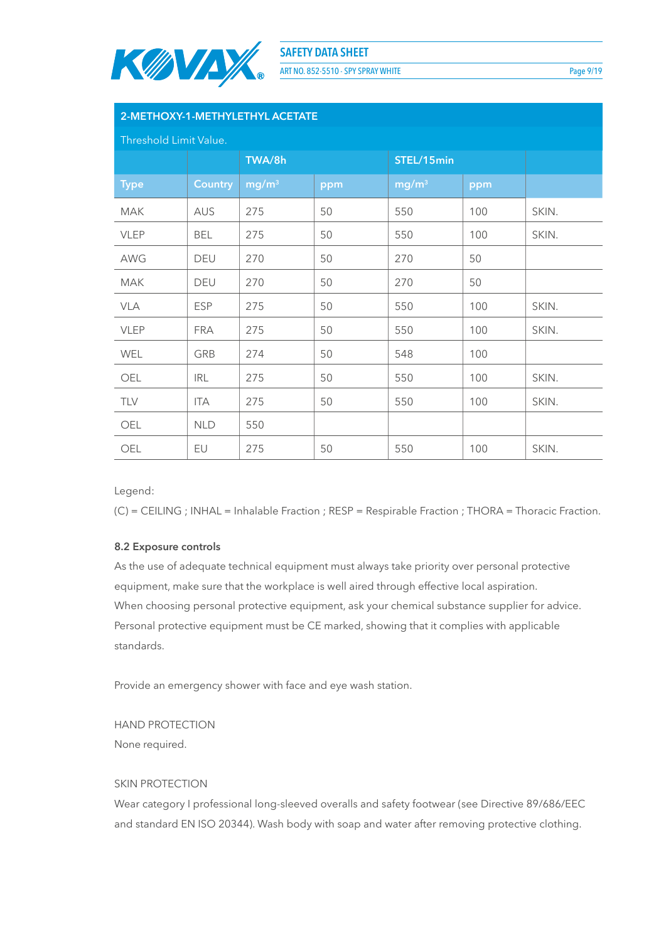

ART NO. 852-5510 - SPY SPRAY WHITE PAGE 10 Page 9/19

| 2-METHOXY-1-METHYLETHYL ACETATE |                |                   |     |                   |     |       |  |
|---------------------------------|----------------|-------------------|-----|-------------------|-----|-------|--|
| Threshold Limit Value.          |                |                   |     |                   |     |       |  |
|                                 |                | TWA/8h            |     | STEL/15min        |     |       |  |
| <b>Type</b>                     | <b>Country</b> | mg/m <sup>3</sup> | ppm | mg/m <sup>3</sup> | ppm |       |  |
| <b>MAK</b>                      | AUS            | 275               | 50  | 550               | 100 | SKIN. |  |
| <b>VLEP</b>                     | BEL            | 275               | 50  | 550               | 100 | SKIN. |  |
| AWG                             | DEU            | 270               | 50  | 270               | 50  |       |  |
| <b>MAK</b>                      | DEU            | 270               | 50  | 270               | 50  |       |  |
| <b>VLA</b>                      | <b>ESP</b>     | 275               | 50  | 550               | 100 | SKIN. |  |
| <b>VLEP</b>                     | <b>FRA</b>     | 275               | 50  | 550               | 100 | SKIN. |  |
| <b>WEL</b>                      | GRB            | 274               | 50  | 548               | 100 |       |  |
| OEL                             | <b>IRL</b>     | 275               | 50  | 550               | 100 | SKIN. |  |
| TLV                             | <b>ITA</b>     | 275               | 50  | 550               | 100 | SKIN. |  |
| OEL                             | NLD            | 550               |     |                   |     |       |  |
| OEL                             | EU             | 275               | 50  | 550               | 100 | SKIN. |  |

Legend:

(C) = CEILING ; INHAL = Inhalable Fraction ; RESP = Respirable Fraction ; THORA = Thoracic Fraction.

#### **8.2 Exposure controls**

As the use of adequate technical equipment must always take priority over personal protective equipment, make sure that the workplace is well aired through effective local aspiration. When choosing personal protective equipment, ask your chemical substance supplier for advice. Personal protective equipment must be CE marked, showing that it complies with applicable standards.

Provide an emergency shower with face and eye wash station.

HAND PROTECTION

None required.

#### SKIN PROTECTION

Wear category I professional long-sleeved overalls and safety footwear (see Directive 89/686/EEC and standard EN ISO 20344). Wash body with soap and water after removing protective clothing.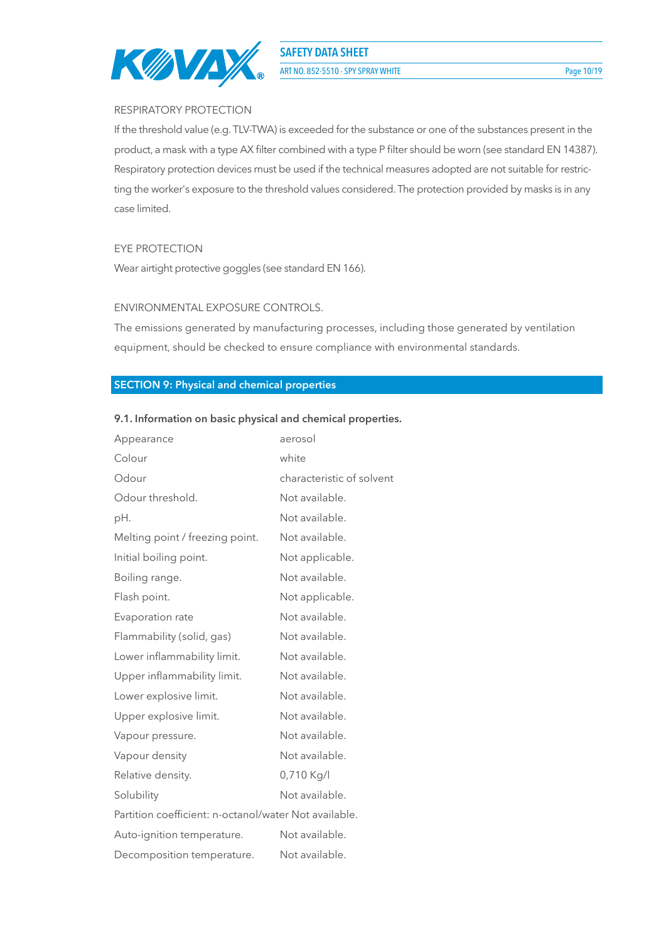

ART NO. 852-5510 - SPY SPRAY WHITE Page 10/19

#### RESPIRATORY PROTECTION

If the threshold value (e.g. TLV-TWA) is exceeded for the substance or one of the substances present in the product, a mask with a type AX filter combined with a type P filter should be worn (see standard EN 14387). Respiratory protection devices must be used if the technical measures adopted are not suitable for restricting the worker's exposure to the threshold values considered. The protection provided by masks is in any case limited.

#### EYE PROTECTION

Wear airtight protective goggles (see standard EN 166).

#### ENVIRONMENTAL EXPOSURE CONTROLS.

The emissions generated by manufacturing processes, including those generated by ventilation equipment, should be checked to ensure compliance with environmental standards.

#### **SECTION 9: Physical and chemical properties**

#### **9.1. Information on basic physical and chemical properties.**

| Appearance                                            | aerosol                   |
|-------------------------------------------------------|---------------------------|
| Colour                                                | white                     |
| Odour                                                 | characteristic of solvent |
| Odour threshold.                                      | Not available.            |
| рH.                                                   | Not available.            |
| Melting point / freezing point.                       | Not available.            |
| Initial boiling point.                                | Not applicable.           |
| Boiling range.                                        | Not available.            |
| Flash point.                                          | Not applicable.           |
| Evaporation rate                                      | Not available.            |
| Flammability (solid, gas)                             | Not available.            |
| Lower inflammability limit.                           | Not available.            |
| Upper inflammability limit.                           | Not available.            |
| Lower explosive limit.                                | Not available.            |
| Upper explosive limit.                                | Not available.            |
| Vapour pressure.                                      | Not available.            |
| Vapour density                                        | Not available.            |
| Relative density.                                     | 0,710 Kg/l                |
| Solubility                                            | Not available.            |
| Partition coefficient: n-octanol/water Not available. |                           |
| Auto-ignition temperature.                            | Not available.            |
| Decomposition temperature.                            | Not available.            |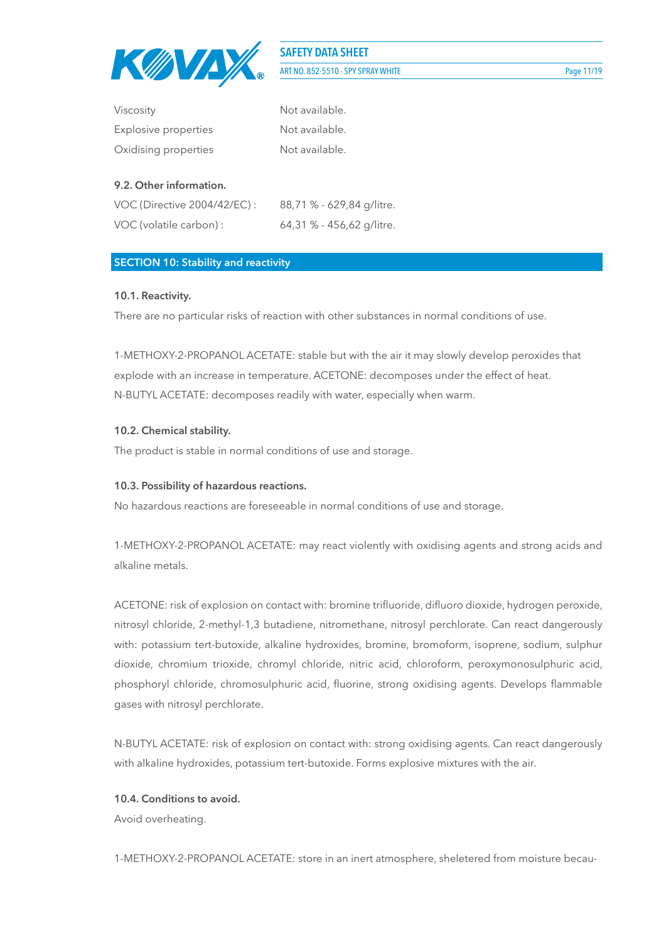

**SAFETY DATA SHEET** ART NO. 852-5510 - SPY SPRAY WHITE

| <b>Viscosity</b>     | Not available. |
|----------------------|----------------|
| Explosive properties | Not available. |
| Oxidising properties | Not available. |

#### **9.2. Other information.**

| VOC (Directive 2004/42/EC) : | 88,71 % - 629,84 g/litre. |
|------------------------------|---------------------------|
| VOC (volatile carbon) :      | 64,31 % - 456,62 g/litre. |

#### **SECTION 10: Stability and reactivity**

#### **10.1. Reactivity.**

There are no particular risks of reaction with other substances in normal conditions of use.

1-METHOXY-2-PROPANOL ACETATE: stable but with the air it may slowly develop peroxides that explode with an increase in temperature. ACETONE: decomposes under the effect of heat. N-BUTYL ACETATE: decomposes readily with water, especially when warm.

#### **10.2. Chemical stability.**

The product is stable in normal conditions of use and storage.

#### **10.3. Possibility of hazardous reactions.**

No hazardous reactions are foreseeable in normal conditions of use and storage.

1-METHOXY-2-PROPANOL ACETATE: may react violently with oxidising agents and strong acids and alkaline metals.

ACETONE: risk of explosion on contact with: bromine trifluoride, difluoro dioxide, hydrogen peroxide, nitrosyl chloride, 2-methyl-1,3 butadiene, nitromethane, nitrosyl perchlorate. Can react dangerously with: potassium tert-butoxide, alkaline hydroxides, bromine, bromoform, isoprene, sodium, sulphur dioxide, chromium trioxide, chromyl chloride, nitric acid, chloroform, peroxymonosulphuric acid, phosphoryl chloride, chromosulphuric acid, fluorine, strong oxidising agents. Develops flammable gases with nitrosyl perchlorate.

N-BUTYL ACETATE: risk of explosion on contact with: strong oxidising agents. Can react dangerously with alkaline hydroxides, potassium tert-butoxide. Forms explosive mixtures with the air.

#### **10.4. Conditions to avoid.**

Avoid overheating.

1-METHOXY-2-PROPANOL ACETATE: store in an inert atmosphere, sheletered from moisture becau-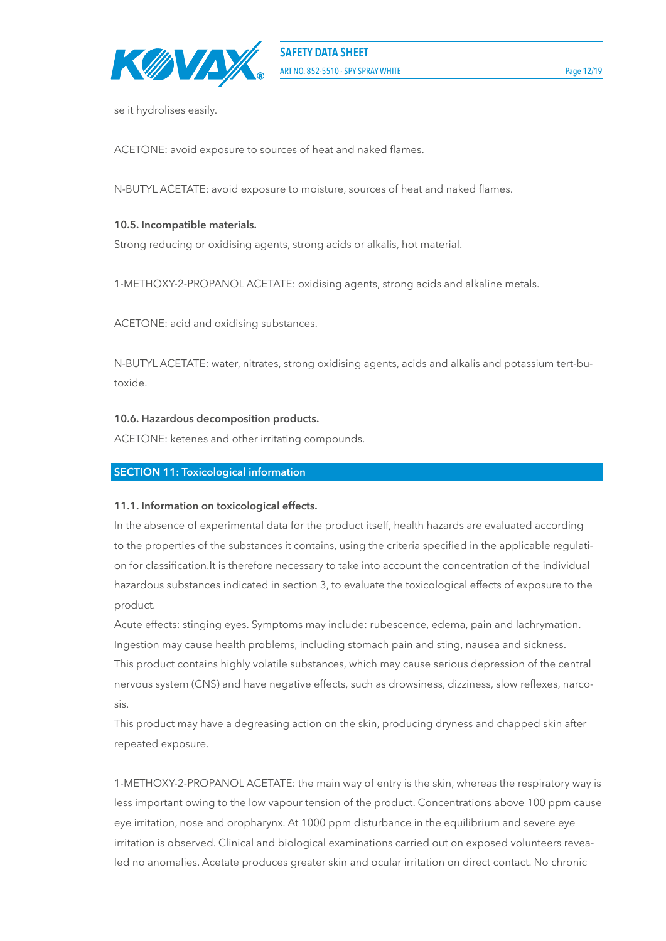

se it hydrolises easily.

ACETONE: avoid exposure to sources of heat and naked flames.

N-BUTYL ACETATE: avoid exposure to moisture, sources of heat and naked flames.

#### **10.5. Incompatible materials.**

Strong reducing or oxidising agents, strong acids or alkalis, hot material.

1-METHOXY-2-PROPANOL ACETATE: oxidising agents, strong acids and alkaline metals.

ACETONE: acid and oxidising substances.

N-BUTYL ACETATE: water, nitrates, strong oxidising agents, acids and alkalis and potassium tert-butoxide.

#### **10.6. Hazardous decomposition products.**

ACETONE: ketenes and other irritating compounds.

#### **SECTION 11: Toxicological information**

#### **11.1. Information on toxicological effects.**

In the absence of experimental data for the product itself, health hazards are evaluated according to the properties of the substances it contains, using the criteria specified in the applicable regulation for classification.It is therefore necessary to take into account the concentration of the individual hazardous substances indicated in section 3, to evaluate the toxicological effects of exposure to the product.

Acute effects: stinging eyes. Symptoms may include: rubescence, edema, pain and lachrymation. Ingestion may cause health problems, including stomach pain and sting, nausea and sickness. This product contains highly volatile substances, which may cause serious depression of the central nervous system (CNS) and have negative effects, such as drowsiness, dizziness, slow reflexes, narcosis.

This product may have a degreasing action on the skin, producing dryness and chapped skin after repeated exposure.

1-METHOXY-2-PROPANOL ACETATE: the main way of entry is the skin, whereas the respiratory way is less important owing to the low vapour tension of the product. Concentrations above 100 ppm cause eye irritation, nose and oropharynx. At 1000 ppm disturbance in the equilibrium and severe eye irritation is observed. Clinical and biological examinations carried out on exposed volunteers revealed no anomalies. Acetate produces greater skin and ocular irritation on direct contact. No chronic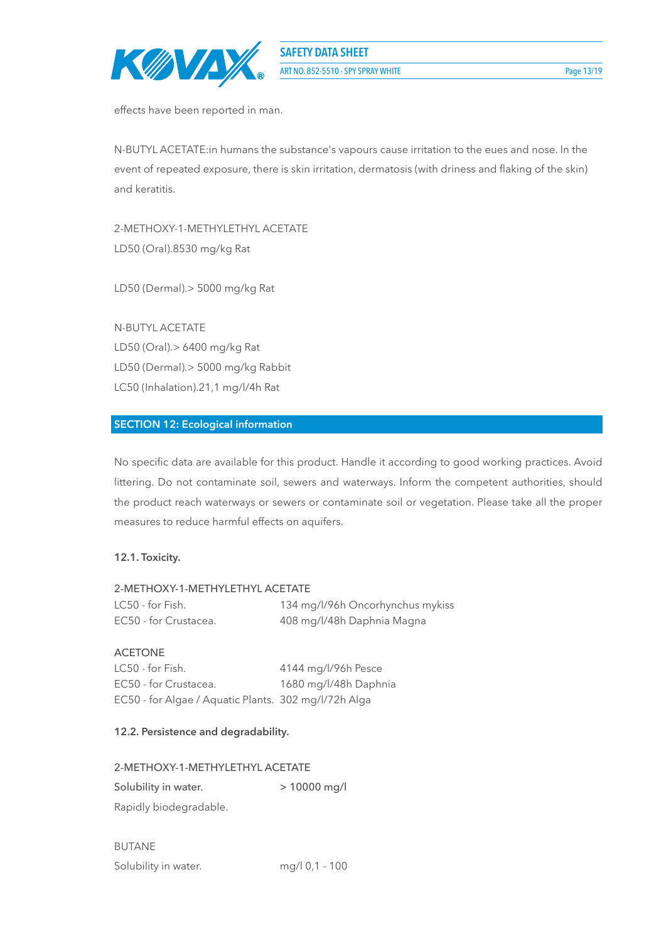

effects have been reported in man.

N-BUTYL ACETATE:in humans the substance's vapours cause irritation to the eues and nose. In the event of repeated exposure, there is skin irritation, dermatosis (with driness and flaking of the skin) and keratitis.

2-METHOXY-1-METHYLETHYL ACETATE LD50 (Oral).8530 mg/kg Rat

LD50 (Dermal).> 5000 mg/kg Rat

N-BUTYL ACETATE LD50 (Oral).> 6400 mg/kg Rat LD50 (Dermal).> 5000 mg/kg Rabbit LC50 (Inhalation).21,1 mg/l/4h Rat

## **SECTION 12: Ecological information**

No specific data are available for this product. Handle it according to good working practices. Avoid littering. Do not contaminate soil, sewers and waterways. Inform the competent authorities, should the product reach waterways or sewers or contaminate soil or vegetation. Please take all the proper measures to reduce harmful effects on aquifers.

#### **12.1. Toxicity.**

#### 2-METHOXY-1-METHYLETHYL ACETATE

| LC50 - for Fish.      | 134 mg/l/96h Oncorhynchus mykiss |
|-----------------------|----------------------------------|
| EC50 - for Crustacea. | 408 mg/l/48h Daphnia Magna       |

#### ACETONE

LC50 - for Fish. 4144 mg/l/96h Pesce EC50 - for Crustacea. 1680 mg/l/48h Daphnia EC50 - for Algae / Aquatic Plants. 302 mg/l/72h Alga

#### **12.2. Persistence and degradability.**

#### 2-METHOXY-1-METHYLETHYL ACETATE

Solubility in water. > 10000 mg/l Rapidly biodegradable.

BUTANE Solubility in water. mg/l 0,1 - 100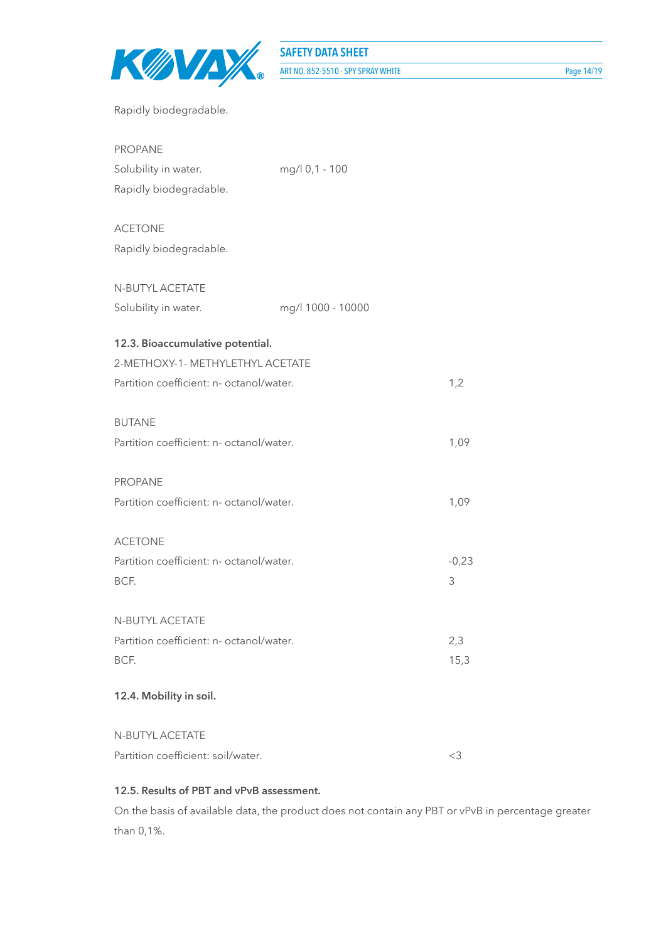

| <b>PROPANE</b>                           |                   |         |
|------------------------------------------|-------------------|---------|
| Solubility in water.                     | mg/l 0,1 - 100    |         |
| Rapidly biodegradable.                   |                   |         |
| <b>ACETONE</b>                           |                   |         |
| Rapidly biodegradable.                   |                   |         |
| N-BUTYL ACETATE                          |                   |         |
| Solubility in water.                     | mg/l 1000 - 10000 |         |
| 12.3. Bioaccumulative potential.         |                   |         |
| 2-METHOXY-1- METHYLETHYL ACETATE         |                   |         |
| Partition coefficient: n- octanol/water. |                   | 1,2     |
| <b>BUTANE</b>                            |                   |         |
| Partition coefficient: n- octanol/water. |                   | 1,09    |
| PROPANE                                  |                   |         |
| Partition coefficient: n- octanol/water. |                   | 1,09    |
| <b>ACETONE</b>                           |                   |         |
| Partition coefficient: n- octanol/water. |                   | $-0,23$ |
| BCF.                                     |                   | 3       |
| N-BUTYL ACETATE                          |                   |         |
| Partition coefficient: n- octanol/water. |                   | 2,3     |
| BCF.                                     |                   | 15,3    |
| 12.4. Mobility in soil.                  |                   |         |
| N-BUTYL ACETATE                          |                   |         |
| Partition coefficient: soil/water.       |                   | <3      |

## **12.5. Results of PBT and vPvB assessment.**

On the basis of available data, the product does not contain any PBT or vPvB in percentage greater than 0,1%.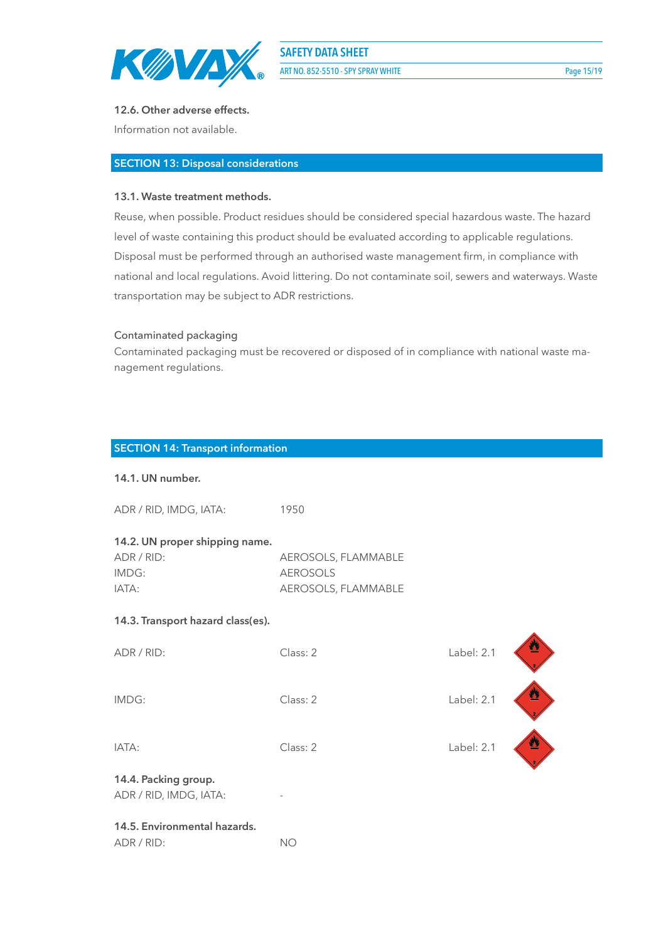

ART NO. 852-5510 - SPY SPRAY WHITE Page 15/19

#### **12.6. Other adverse effects.**

Information not available.

### **SECTION 13: Disposal considerations**

#### **13.1. Waste treatment methods.**

Reuse, when possible. Product residues should be considered special hazardous waste. The hazard level of waste containing this product should be evaluated according to applicable regulations. Disposal must be performed through an authorised waste management firm, in compliance with national and local regulations. Avoid littering. Do not contaminate soil, sewers and waterways. Waste transportation may be subject to ADR restrictions.

#### Contaminated packaging

Contaminated packaging must be recovered or disposed of in compliance with national waste management regulations.

Class: 2 Label: 2.1

一个人的

#### **SECTION 14: Transport information**

#### **14.1. UN number.**

| ADR / RID, IMDG, IATA: | 1950 |
|------------------------|------|
|                        |      |

#### **14.2. UN proper shipping name.**

| ADR / RID: | AEROSOLS, FLAMMABLE |
|------------|---------------------|
| IMDG:      | AEROSOLS            |
| IATA:      | AEROSOLS, FLAMMABLE |

#### **14.3. Transport hazard class(es).**

| ADR / RII |  |  |
|-----------|--|--|
|           |  |  |

IMDG: Class: 2 Label: 2.1

IATA: Class: 2 Label: 2.1

# **14.4. Packing group.**

ADR / RID, IMDG, IATA:

# **14.5. Environmental hazards.**

ADR / RID: NO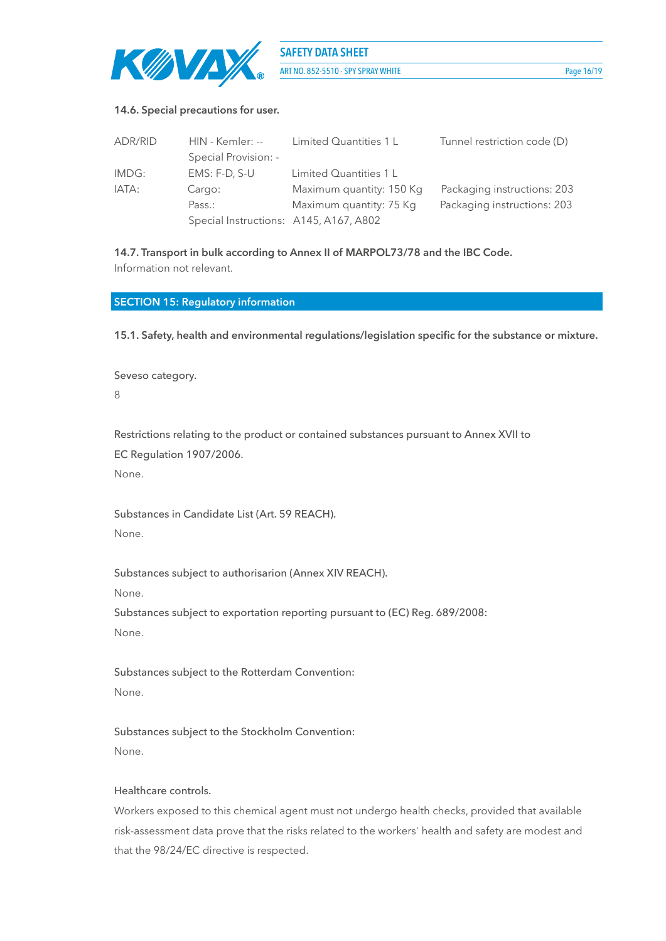

**SAFETY DATA SHEET** ART NO. 852-5510 - SPY SPRAY WHITE Page 16/19

#### **14.6. Special precautions for user.**

| ADR/RID | HIN - Kemler: --                       | Limited Quantities 1 L   | Tunnel restriction code (D) |
|---------|----------------------------------------|--------------------------|-----------------------------|
|         | Special Provision: -                   |                          |                             |
| IMDG:   | EMS: F-D, S-U                          | Limited Quantities 1 L   |                             |
| IATA:   | Cargo:                                 | Maximum quantity: 150 Kg | Packaging instructions: 203 |
|         | Pass.:                                 | Maximum quantity: 75 Kg  | Packaging instructions: 203 |
|         | Special Instructions: A145, A167, A802 |                          |                             |

**14.7. Transport in bulk according to Annex II of MARPOL73/78 and the IBC Code.** Information not relevant.

#### **SECTION 15: Regulatory information**

**15.1. Safety, health and environmental regulations/legislation specific for the substance or mixture.**

Seveso category. 8

Restrictions relating to the product or contained substances pursuant to Annex XVII to EC Regulation 1907/2006. None.

Substances in Candidate List (Art. 59 REACH). None.

Substances subject to authorisarion (Annex XIV REACH).

None.

Substances subject to exportation reporting pursuant to (EC) Reg. 689/2008: None.

Substances subject to the Rotterdam Convention: None.

Substances subject to the Stockholm Convention: None.

#### Healthcare controls.

Workers exposed to this chemical agent must not undergo health checks, provided that available risk-assessment data prove that the risks related to the workers' health and safety are modest and that the 98/24/EC directive is respected.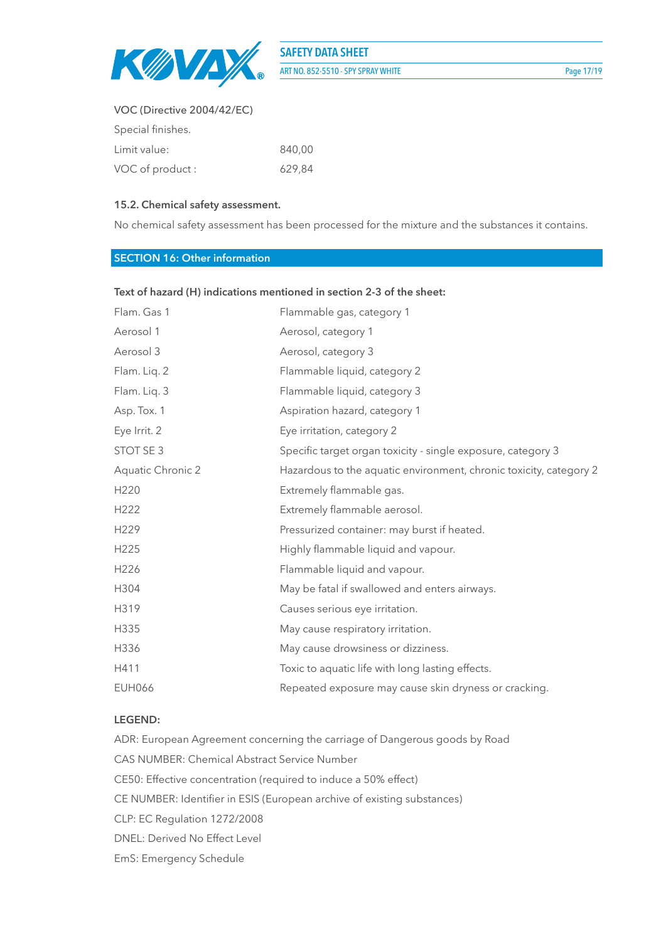

# **SAFETY DATA SHEET** ART NO. 852-5510 - SPY SPRAY WHITE Page 17/19

## VOC (Directive 2004/42/EC)

| Special finishes. |        |
|-------------------|--------|
| Limit value:      | 840.00 |
| VOC of product:   | 629,84 |

#### **15.2. Chemical safety assessment.**

No chemical safety assessment has been processed for the mixture and the substances it contains.

#### **SECTION 16: Other information**

| Flam. Gas 1       | Flammable gas, category 1                                          |
|-------------------|--------------------------------------------------------------------|
| Aerosol 1         | Aerosol, category 1                                                |
| Aerosol 3         | Aerosol, category 3                                                |
| Flam. Liq. 2      | Flammable liquid, category 2                                       |
| Flam. Liq. 3      | Flammable liquid, category 3                                       |
| Asp. Tox. 1       | Aspiration hazard, category 1                                      |
| Eye Irrit. 2      | Eye irritation, category 2                                         |
| STOT SE 3         | Specific target organ toxicity - single exposure, category 3       |
| Aquatic Chronic 2 | Hazardous to the aquatic environment, chronic toxicity, category 2 |
| H <sub>220</sub>  | Extremely flammable gas.                                           |
| H222              | Extremely flammable aerosol.                                       |
| H229              | Pressurized container: may burst if heated.                        |
| H225              | Highly flammable liquid and vapour.                                |
| H226              | Flammable liquid and vapour.                                       |
| H304              | May be fatal if swallowed and enters airways.                      |
| H319              | Causes serious eye irritation.                                     |
| H335              | May cause respiratory irritation.                                  |
| H336              | May cause drowsiness or dizziness.                                 |
| H411              | Toxic to aquatic life with long lasting effects.                   |
| <b>EUH066</b>     | Repeated exposure may cause skin dryness or cracking.              |
|                   |                                                                    |

#### **Text of hazard (H) indications mentioned in section 2-3 of the sheet:**

#### **LEGEND:**

ADR: European Agreement concerning the carriage of Dangerous goods by Road CAS NUMBER: Chemical Abstract Service Number CE50: Effective concentration (required to induce a 50% effect) CE NUMBER: Identifier in ESIS (European archive of existing substances) CLP: EC Regulation 1272/2008 DNEL: Derived No Effect Level EmS: Emergency Schedule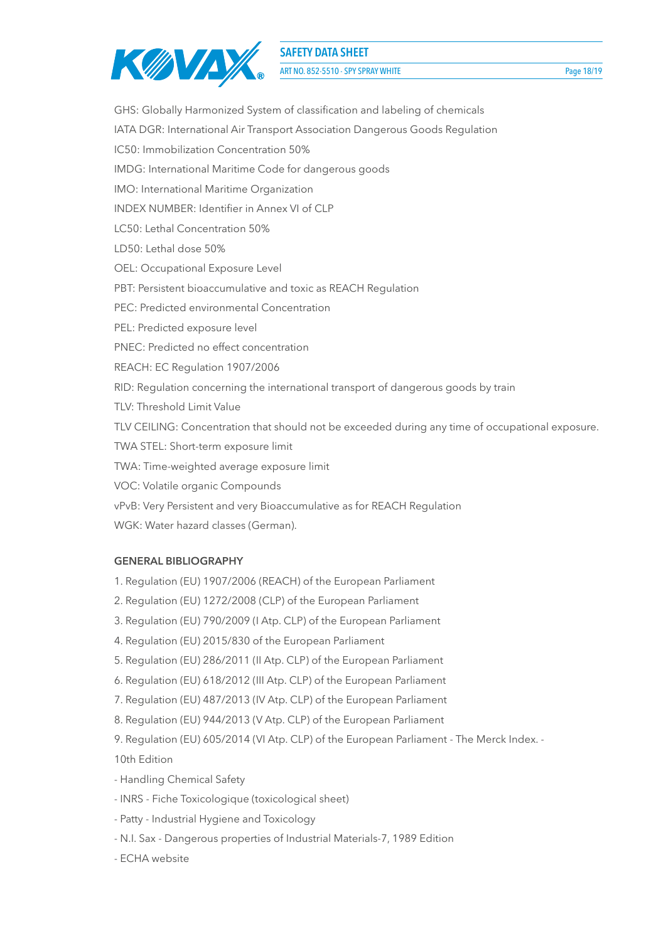

ART NO. 852-5510 - SPY SPRAY WHITE Page 18/19

GHS: Globally Harmonized System of classification and labeling of chemicals IATA DGR: International Air Transport Association Dangerous Goods Regulation IC50: Immobilization Concentration 50% IMDG: International Maritime Code for dangerous goods IMO: International Maritime Organization INDEX NUMBER: Identifier in Annex VI of CLP LC50: Lethal Concentration 50% LD50: Lethal dose 50% OEL: Occupational Exposure Level PBT: Persistent bioaccumulative and toxic as REACH Regulation PEC: Predicted environmental Concentration PEL: Predicted exposure level PNEC: Predicted no effect concentration REACH: EC Regulation 1907/2006 RID: Regulation concerning the international transport of dangerous goods by train TLV: Threshold Limit Value TLV CEILING: Concentration that should not be exceeded during any time of occupational exposure. TWA STEL: Short-term exposure limit TWA: Time-weighted average exposure limit VOC: Volatile organic Compounds vPvB: Very Persistent and very Bioaccumulative as for REACH Regulation WGK: Water hazard classes (German).

#### **GENERAL BIBLIOGRAPHY**

- 1. Regulation (EU) 1907/2006 (REACH) of the European Parliament
- 2. Regulation (EU) 1272/2008 (CLP) of the European Parliament
- 3. Regulation (EU) 790/2009 (I Atp. CLP) of the European Parliament
- 4. Regulation (EU) 2015/830 of the European Parliament
- 5. Regulation (EU) 286/2011 (II Atp. CLP) of the European Parliament
- 6. Regulation (EU) 618/2012 (III Atp. CLP) of the European Parliament
- 7. Regulation (EU) 487/2013 (IV Atp. CLP) of the European Parliament
- 8. Regulation (EU) 944/2013 (V Atp. CLP) of the European Parliament
- 9. Regulation (EU) 605/2014 (VI Atp. CLP) of the European Parliament The Merck Index. -

10th Edition

- Handling Chemical Safety
- INRS Fiche Toxicologique (toxicological sheet)
- Patty Industrial Hygiene and Toxicology
- N.I. Sax Dangerous properties of Industrial Materials-7, 1989 Edition
- ECHA website